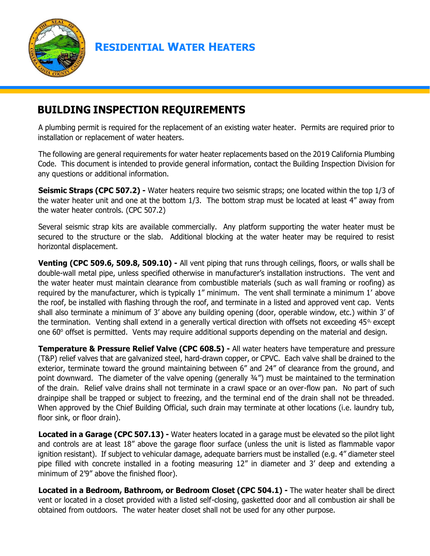

**RESIDENTIAL WATER HEATERS** 

## **BUILDING INSPECTION REQUIREMENTS**

A plumbing permit is required for the replacement of an existing water heater. Permits are required prior to installation or replacement of water heaters.

The following are general requirements for water heater replacements based on the 2019 California Plumbing Code. This document is intended to provide general information, contact the Building Inspection Division for any questions or additional information.

**Seismic Straps (CPC 507.2) -** Water heaters require two seismic straps; one located within the top 1/3 of the water heater unit and one at the bottom 1/3. The bottom strap must be located at least 4" away from the water heater controls. (CPC 507.2)

Several seismic strap kits are available commercially. Any platform supporting the water heater must be secured to the structure or the slab. Additional blocking at the water heater may be required to resist horizontal displacement.

**Venting (CPC 509.6, 509.8, 509.10) -** All vent piping that runs through ceilings, floors, or walls shall be double-wall metal pipe, unless specified otherwise in manufacturer's installation instructions. The vent and the water heater must maintain clearance from combustible materials (such as wall framing or roofing) as required by the manufacturer, which is typically 1" minimum. The vent shall terminate a minimum 1' above the roof, be installed with flashing through the roof, and terminate in a listed and approved vent cap. Vents shall also terminate a minimum of 3' above any building opening (door, operable window, etc.) within 3' of the termination. Venting shall extend in a generally vertical direction with offsets not exceeding  $45\%$  except one 60° offset is permitted. Vents may require additional supports depending on the material and design.

**Temperature & Pressure Relief Valve (CPC 608.5) -** All water heaters have temperature and pressure (T&P) relief valves that are galvanized steel, hard-drawn copper, or CPVC. Each valve shall be drained to the exterior, terminate toward the ground maintaining between 6" and 24" of clearance from the ground, and point downward. The diameter of the valve opening (generally 3/4") must be maintained to the termination of the drain. Relief valve drains shall not terminate in a crawl space or an over-flow pan. No part of such drainpipe shall be trapped or subject to freezing, and the terminal end of the drain shall not be threaded. When approved by the Chief Building Official, such drain may terminate at other locations (i.e. laundry tub, floor sink, or floor drain).

**Located in a Garage (CPC 507.13) -** Water heaters located in a garage must be elevated so the pilot light and controls are at least 18" above the garage floor surface (unless the unit is listed as flammable vapor ignition resistant). If subject to vehicular damage, adequate barriers must be installed (e.g. 4" diameter steel pipe filled with concrete installed in a footing measuring 12" in diameter and 3' deep and extending a minimum of 2'9" above the finished floor).

**Located in a Bedroom, Bathroom, or Bedroom Closet (CPC 504.1) -** The water heater shall be direct vent or located in a closet provided with a listed self-closing, gasketted door and all combustion air shall be obtained from outdoors. The water heater closet shall not be used for any other purpose.